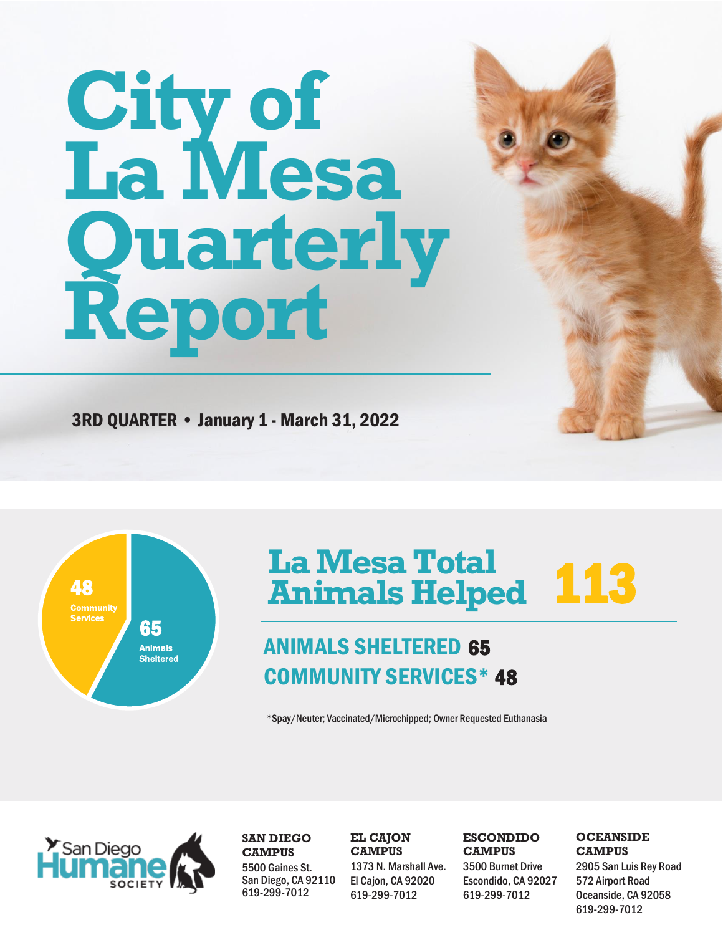# **City of La Mesa Quarterly Report**

3RD QUARTER • January 1 - March 31, 2022



## **La MesaTotal Animals Helped** 113

## ANIMALS SHELTERED 65 COMMUNITY SERVICES\* 48

\*Spay/Neuter; Vaccinated/Microchipped; Owner Requested Euthanasia



**SAN DIEGO CAMPUS** 5500 Gaines St. San Diego, CA 92110 619-299-7012

#### **EL CAJON CAMPUS**

1373 N. Marshall Ave. El Cajon, CA 92020 619-299-7012

#### **ESCONDIDO CAMPUS**

3500 Burnet Drive Escondido, CA 92027 619-299-7012

#### **OCEANSIDE CAMPUS**

2905 San Luis Rey Road 572 Airport Road Oceanside, CA 92058 619-299-7012